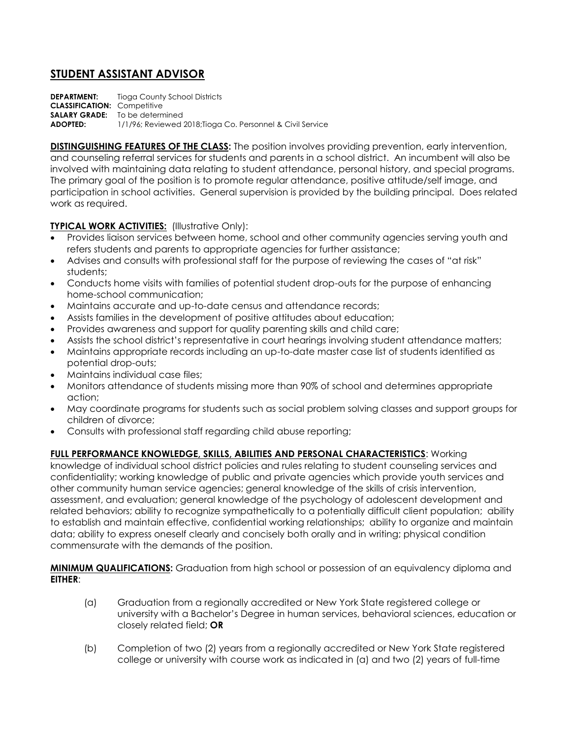## **STUDENT ASSISTANT ADVISOR**

**DEPARTMENT:** Tioga County School Districts **CLASSIFICATION:** Competitive **SALARY GRADE:** To be determined **ADOPTED:** 1/1/96; Reviewed 2018;Tioga Co. Personnel & Civil Service

**DISTINGUISHING FEATURES OF THE CLASS:** The position involves providing prevention, early intervention, and counseling referral services for students and parents in a school district. An incumbent will also be involved with maintaining data relating to student attendance, personal history, and special programs. The primary goal of the position is to promote regular attendance, positive attitude/self image, and participation in school activities. General supervision is provided by the building principal. Does related work as required.

## **TYPICAL WORK ACTIVITIES:** (Illustrative Only):

- Provides liaison services between home, school and other community agencies serving youth and refers students and parents to appropriate agencies for further assistance;
- Advises and consults with professional staff for the purpose of reviewing the cases of "at risk" students;
- Conducts home visits with families of potential student drop-outs for the purpose of enhancing home-school communication;
- Maintains accurate and up-to-date census and attendance records;
- Assists families in the development of positive attitudes about education;
- Provides awareness and support for quality parenting skills and child care;
- Assists the school district's representative in court hearings involving student attendance matters;
- Maintains appropriate records including an up-to-date master case list of students identified as potential drop-outs;
- Maintains individual case files;
- Monitors attendance of students missing more than 90% of school and determines appropriate action;
- May coordinate programs for students such as social problem solving classes and support groups for children of divorce;
- Consults with professional staff regarding child abuse reporting;

## **FULL PERFORMANCE KNOWLEDGE, SKILLS, ABILITIES AND PERSONAL CHARACTERISTICS**: Working

knowledge of individual school district policies and rules relating to student counseling services and confidentiality; working knowledge of public and private agencies which provide youth services and other community human service agencies; general knowledge of the skills of crisis intervention, assessment, and evaluation; general knowledge of the psychology of adolescent development and related behaviors; ability to recognize sympathetically to a potentially difficult client population; ability to establish and maintain effective, confidential working relationships; ability to organize and maintain data; ability to express oneself clearly and concisely both orally and in writing; physical condition commensurate with the demands of the position.

**MINIMUM QUALIFICATIONS:** Graduation from high school or possession of an equivalency diploma and **EITHER**:

- (a) Graduation from a regionally accredited or New York State registered college or university with a Bachelor's Degree in human services, behavioral sciences, education or closely related field; **OR**
- (b) Completion of two (2) years from a regionally accredited or New York State registered college or university with course work as indicated in (a) and two (2) years of full-time